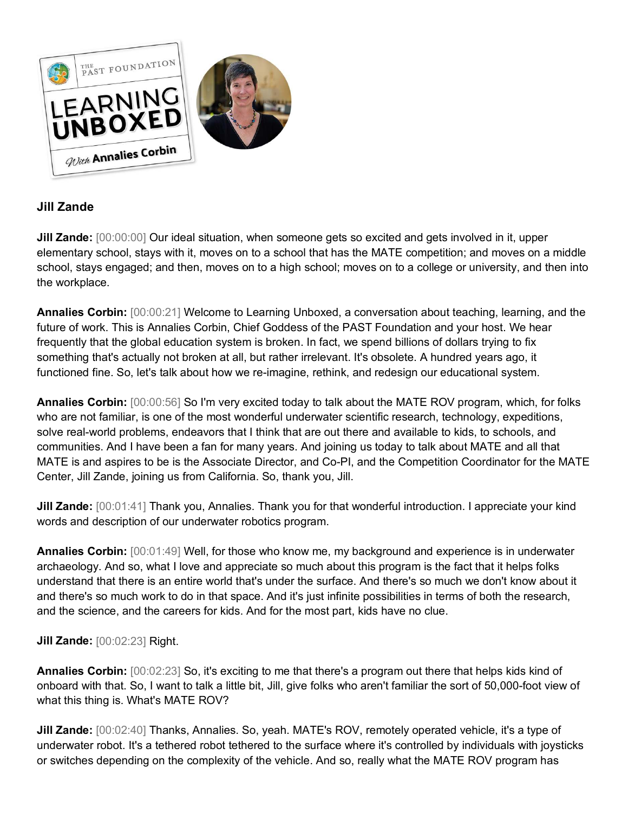

# **Jill Zande**

**Jill Zande:**  $[00:00:00]$  Our ideal situation, when someone gets so excited and gets involved in it, upper elementary school, stays with it, moves on to a school that has the MATE competition; and moves on a middle school, stays engaged; and then, moves on to a high school; moves on to a college or university, and then into the workplace.

**Annalies Corbin:** [00:00:21] Welcome to Learning Unboxed, a conversation about teaching, learning, and the future of work. This is Annalies Corbin, Chief Goddess of the PAST Foundation and your host. We hear frequently that the global education system is broken. In fact, we spend billions of dollars trying to fix something that's actually not broken at all, but rather irrelevant. It's obsolete. A hundred years ago, it functioned fine. So, let's talk about how we re-imagine, rethink, and redesign our educational system.

**Annalies Corbin:** [00:00:56] So I'm very excited today to talk about the MATE ROV program, which, for folks who are not familiar, is one of the most wonderful underwater scientific research, technology, expeditions, solve real-world problems, endeavors that I think that are out there and available to kids, to schools, and communities. And I have been a fan for many years. And joining us today to talk about MATE and all that MATE is and aspires to be is the Associate Director, and Co-PI, and the Competition Coordinator for the MATE Center, Jill Zande, joining us from California. So, thank you, Jill.

**Jill Zande:** [00:01:41] Thank you, Annalies. Thank you for that wonderful introduction. I appreciate your kind words and description of our underwater robotics program.

**Annalies Corbin:** [00:01:49] Well, for those who know me, my background and experience is in underwater archaeology. And so, what I love and appreciate so much about this program is the fact that it helps folks understand that there is an entire world that's under the surface. And there's so much we don't know about it and there's so much work to do in that space. And it's just infinite possibilities in terms of both the research, and the science, and the careers for kids. And for the most part, kids have no clue.

# **Jill Zande:** [00:02:23] Right.

**Annalies Corbin:** [00:02:23] So, it's exciting to me that there's a program out there that helps kids kind of onboard with that. So, I want to talk a little bit, Jill, give folks who aren't familiar the sort of 50,000-foot view of what this thing is. What's MATE ROV?

**Jill Zande:** [00:02:40] Thanks, Annalies. So, yeah. MATE's ROV, remotely operated vehicle, it's a type of underwater robot. It's a tethered robot tethered to the surface where it's controlled by individuals with joysticks or switches depending on the complexity of the vehicle. And so, really what the MATE ROV program has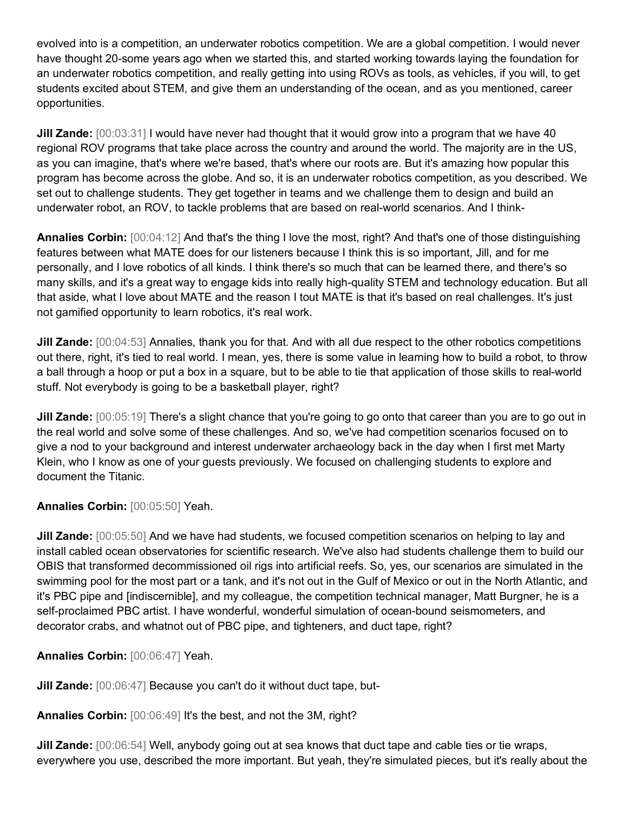evolved into is a competition, an underwater robotics competition. We are a global competition. I would never have thought 20-some years ago when we started this, and started working towards laying the foundation for an underwater robotics competition, and really getting into using ROVs as tools, as vehicles, if you will, to get students excited about STEM, and give them an understanding of the ocean, and as you mentioned, career opportunities.

**Jill Zande:** [00:03:31] I would have never had thought that it would grow into a program that we have 40 regional ROV programs that take place across the country and around the world. The majority are in the US, as you can imagine, that's where we're based, that's where our roots are. But it's amazing how popular this program has become across the globe. And so, it is an underwater robotics competition, as you described. We set out to challenge students. They get together in teams and we challenge them to design and build an underwater robot, an ROV, to tackle problems that are based on real-world scenarios. And I think-

**Annalies Corbin:** [00:04:12] And that's the thing I love the most, right? And that's one of those distinguishing features between what MATE does for our listeners because I think this is so important, Jill, and for me personally, and I love robotics of all kinds. I think there's so much that can be learned there, and there's so many skills, and it's a great way to engage kids into really high-quality STEM and technology education. But all that aside, what I love about MATE and the reason I tout MATE is that it's based on real challenges. It's just not gamified opportunity to learn robotics, it's real work.

**Jill Zande:** [00:04:53] Annalies, thank you for that. And with all due respect to the other robotics competitions out there, right, it's tied to real world. I mean, yes, there is some value in learning how to build a robot, to throw a ball through a hoop or put a box in a square, but to be able to tie that application of those skills to real-world stuff. Not everybody is going to be a basketball player, right?

**Jill Zande:** [00:05:19] There's a slight chance that you're going to go onto that career than you are to go out in the real world and solve some of these challenges. And so, we've had competition scenarios focused on to give a nod to your background and interest underwater archaeology back in the day when I first met Marty Klein, who I know as one of your guests previously. We focused on challenging students to explore and document the Titanic.

**Annalies Corbin:** [00:05:50] Yeah.

**Jill Zande:** [00:05:50] And we have had students, we focused competition scenarios on helping to lay and install cabled ocean observatories for scientific research. We've also had students challenge them to build our OBIS that transformed decommissioned oil rigs into artificial reefs. So, yes, our scenarios are simulated in the swimming pool for the most part or a tank, and it's not out in the Gulf of Mexico or out in the North Atlantic, and it's PBC pipe and [indiscernible], and my colleague, the competition technical manager, Matt Burgner, he is a self-proclaimed PBC artist. I have wonderful, wonderful simulation of ocean-bound seismometers, and decorator crabs, and whatnot out of PBC pipe, and tighteners, and duct tape, right?

**Annalies Corbin:** [00:06:47] Yeah.

**Jill Zande:** [00:06:47] Because you can't do it without duct tape, but-

**Annalies Corbin:** [00:06:49] It's the best, and not the 3M, right?

**Jill Zande:** [00:06:54] Well, anybody going out at sea knows that duct tape and cable ties or tie wraps, everywhere you use, described the more important. But yeah, they're simulated pieces, but it's really about the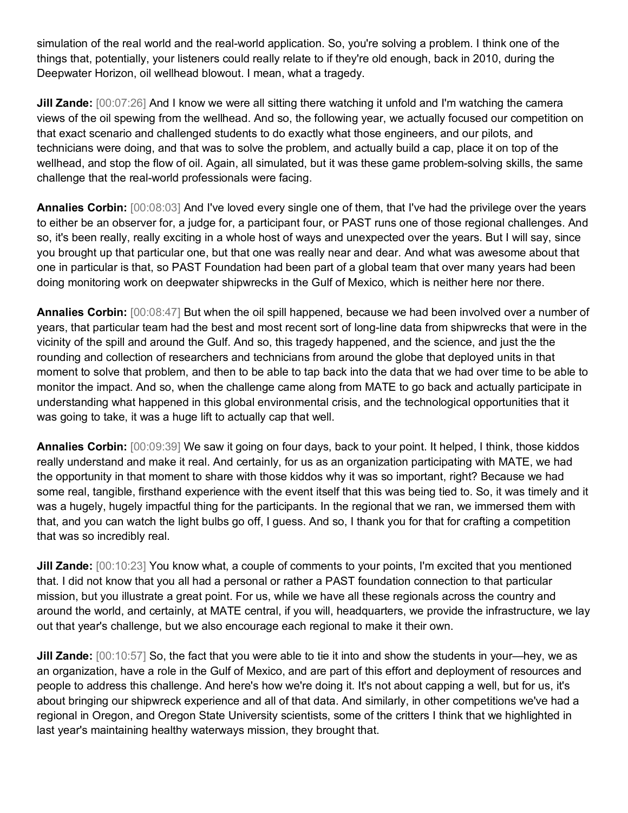simulation of the real world and the real-world application. So, you're solving a problem. I think one of the things that, potentially, your listeners could really relate to if they're old enough, back in 2010, during the Deepwater Horizon, oil wellhead blowout. I mean, what a tragedy.

**Jill Zande:** [00:07:26] And I know we were all sitting there watching it unfold and I'm watching the camera views of the oil spewing from the wellhead. And so, the following year, we actually focused our competition on that exact scenario and challenged students to do exactly what those engineers, and our pilots, and technicians were doing, and that was to solve the problem, and actually build a cap, place it on top of the wellhead, and stop the flow of oil. Again, all simulated, but it was these game problem-solving skills, the same challenge that the real-world professionals were facing.

**Annalies Corbin:** [00:08:03] And I've loved every single one of them, that I've had the privilege over the years to either be an observer for, a judge for, a participant four, or PAST runs one of those regional challenges. And so, it's been really, really exciting in a whole host of ways and unexpected over the years. But I will say, since you brought up that particular one, but that one was really near and dear. And what was awesome about that one in particular is that, so PAST Foundation had been part of a global team that over many years had been doing monitoring work on deepwater shipwrecks in the Gulf of Mexico, which is neither here nor there.

**Annalies Corbin:** [00:08:47] But when the oil spill happened, because we had been involved over a number of years, that particular team had the best and most recent sort of long-line data from shipwrecks that were in the vicinity of the spill and around the Gulf. And so, this tragedy happened, and the science, and just the the rounding and collection of researchers and technicians from around the globe that deployed units in that moment to solve that problem, and then to be able to tap back into the data that we had over time to be able to monitor the impact. And so, when the challenge came along from MATE to go back and actually participate in understanding what happened in this global environmental crisis, and the technological opportunities that it was going to take, it was a huge lift to actually cap that well.

**Annalies Corbin:** [00:09:39] We saw it going on four days, back to your point. It helped, I think, those kiddos really understand and make it real. And certainly, for us as an organization participating with MATE, we had the opportunity in that moment to share with those kiddos why it was so important, right? Because we had some real, tangible, firsthand experience with the event itself that this was being tied to. So, it was timely and it was a hugely, hugely impactful thing for the participants. In the regional that we ran, we immersed them with that, and you can watch the light bulbs go off, I guess. And so, I thank you for that for crafting a competition that was so incredibly real.

**Jill Zande:** [00:10:23] You know what, a couple of comments to your points, I'm excited that you mentioned that. I did not know that you all had a personal or rather a PAST foundation connection to that particular mission, but you illustrate a great point. For us, while we have all these regionals across the country and around the world, and certainly, at MATE central, if you will, headquarters, we provide the infrastructure, we lay out that year's challenge, but we also encourage each regional to make it their own.

**Jill Zande:** [00:10:57] So, the fact that you were able to tie it into and show the students in your—hey, we as an organization, have a role in the Gulf of Mexico, and are part of this effort and deployment of resources and people to address this challenge. And here's how we're doing it. It's not about capping a well, but for us, it's about bringing our shipwreck experience and all of that data. And similarly, in other competitions we've had a regional in Oregon, and Oregon State University scientists, some of the critters I think that we highlighted in last year's maintaining healthy waterways mission, they brought that.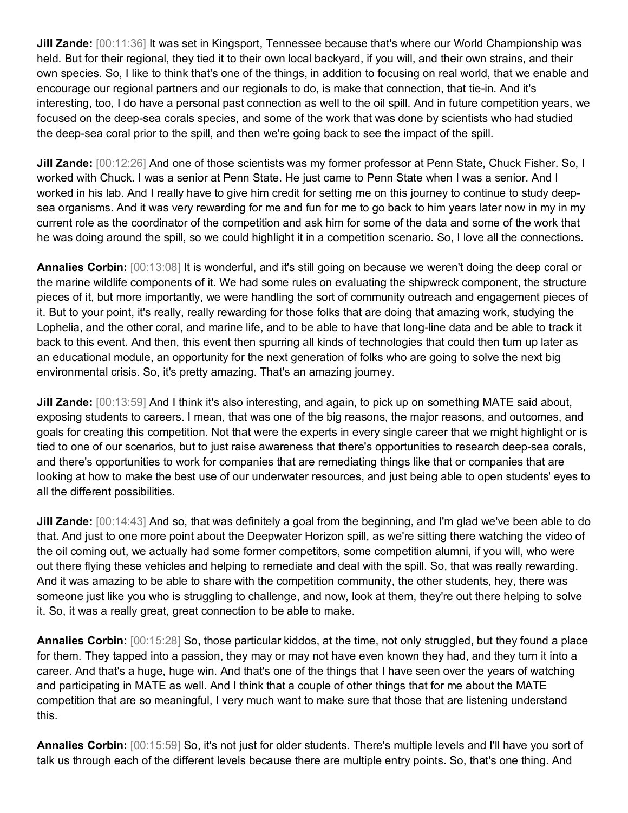**Jill Zande:** [00:11:36] It was set in Kingsport, Tennessee because that's where our World Championship was held. But for their regional, they tied it to their own local backyard, if you will, and their own strains, and their own species. So, I like to think that's one of the things, in addition to focusing on real world, that we enable and encourage our regional partners and our regionals to do, is make that connection, that tie-in. And it's interesting, too, I do have a personal past connection as well to the oil spill. And in future competition years, we focused on the deep-sea corals species, and some of the work that was done by scientists who had studied the deep-sea coral prior to the spill, and then we're going back to see the impact of the spill.

**Jill Zande:** [00:12:26] And one of those scientists was my former professor at Penn State, Chuck Fisher. So, I worked with Chuck. I was a senior at Penn State. He just came to Penn State when I was a senior. And I worked in his lab. And I really have to give him credit for setting me on this journey to continue to study deepsea organisms. And it was very rewarding for me and fun for me to go back to him years later now in my in my current role as the coordinator of the competition and ask him for some of the data and some of the work that he was doing around the spill, so we could highlight it in a competition scenario. So, I love all the connections.

**Annalies Corbin:** [00:13:08] It is wonderful, and it's still going on because we weren't doing the deep coral or the marine wildlife components of it. We had some rules on evaluating the shipwreck component, the structure pieces of it, but more importantly, we were handling the sort of community outreach and engagement pieces of it. But to your point, it's really, really rewarding for those folks that are doing that amazing work, studying the Lophelia, and the other coral, and marine life, and to be able to have that long-line data and be able to track it back to this event. And then, this event then spurring all kinds of technologies that could then turn up later as an educational module, an opportunity for the next generation of folks who are going to solve the next big environmental crisis. So, it's pretty amazing. That's an amazing journey.

**Jill Zande:** [00:13:59] And I think it's also interesting, and again, to pick up on something MATE said about, exposing students to careers. I mean, that was one of the big reasons, the major reasons, and outcomes, and goals for creating this competition. Not that were the experts in every single career that we might highlight or is tied to one of our scenarios, but to just raise awareness that there's opportunities to research deep-sea corals, and there's opportunities to work for companies that are remediating things like that or companies that are looking at how to make the best use of our underwater resources, and just being able to open students' eyes to all the different possibilities.

**Jill Zande:** [00:14:43] And so, that was definitely a goal from the beginning, and I'm glad we've been able to do that. And just to one more point about the Deepwater Horizon spill, as we're sitting there watching the video of the oil coming out, we actually had some former competitors, some competition alumni, if you will, who were out there flying these vehicles and helping to remediate and deal with the spill. So, that was really rewarding. And it was amazing to be able to share with the competition community, the other students, hey, there was someone just like you who is struggling to challenge, and now, look at them, they're out there helping to solve it. So, it was a really great, great connection to be able to make.

**Annalies Corbin:** [00:15:28] So, those particular kiddos, at the time, not only struggled, but they found a place for them. They tapped into a passion, they may or may not have even known they had, and they turn it into a career. And that's a huge, huge win. And that's one of the things that I have seen over the years of watching and participating in MATE as well. And I think that a couple of other things that for me about the MATE competition that are so meaningful, I very much want to make sure that those that are listening understand this.

**Annalies Corbin:** [00:15:59] So, it's not just for older students. There's multiple levels and I'll have you sort of talk us through each of the different levels because there are multiple entry points. So, that's one thing. And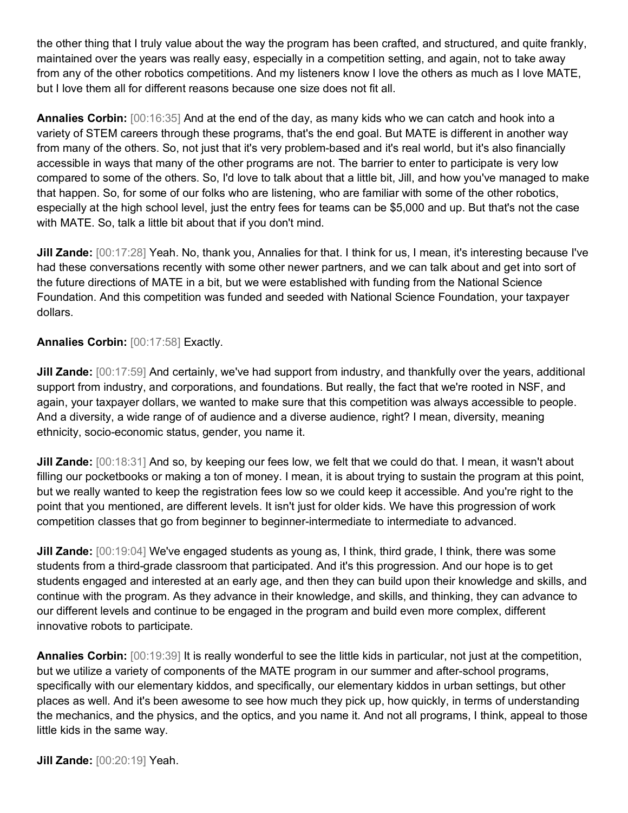the other thing that I truly value about the way the program has been crafted, and structured, and quite frankly, maintained over the years was really easy, especially in a competition setting, and again, not to take away from any of the other robotics competitions. And my listeners know I love the others as much as I love MATE, but I love them all for different reasons because one size does not fit all.

**Annalies Corbin:** [00:16:35] And at the end of the day, as many kids who we can catch and hook into a variety of STEM careers through these programs, that's the end goal. But MATE is different in another way from many of the others. So, not just that it's very problem-based and it's real world, but it's also financially accessible in ways that many of the other programs are not. The barrier to enter to participate is very low compared to some of the others. So, I'd love to talk about that a little bit, Jill, and how you've managed to make that happen. So, for some of our folks who are listening, who are familiar with some of the other robotics, especially at the high school level, just the entry fees for teams can be \$5,000 and up. But that's not the case with MATE. So, talk a little bit about that if you don't mind.

**Jill Zande:** [00:17:28] Yeah. No, thank you, Annalies for that. I think for us, I mean, it's interesting because I've had these conversations recently with some other newer partners, and we can talk about and get into sort of the future directions of MATE in a bit, but we were established with funding from the National Science Foundation. And this competition was funded and seeded with National Science Foundation, your taxpayer dollars.

# **Annalies Corbin:** [00:17:58] Exactly.

**Jill Zande:** [00:17:59] And certainly, we've had support from industry, and thankfully over the years, additional support from industry, and corporations, and foundations. But really, the fact that we're rooted in NSF, and again, your taxpayer dollars, we wanted to make sure that this competition was always accessible to people. And a diversity, a wide range of of audience and a diverse audience, right? I mean, diversity, meaning ethnicity, socio-economic status, gender, you name it.

**Jill Zande:** [00:18:31] And so, by keeping our fees low, we felt that we could do that. I mean, it wasn't about filling our pocketbooks or making a ton of money. I mean, it is about trying to sustain the program at this point, but we really wanted to keep the registration fees low so we could keep it accessible. And you're right to the point that you mentioned, are different levels. It isn't just for older kids. We have this progression of work competition classes that go from beginner to beginner-intermediate to intermediate to advanced.

**Jill Zande:** [00:19:04] We've engaged students as young as, I think, third grade, I think, there was some students from a third-grade classroom that participated. And it's this progression. And our hope is to get students engaged and interested at an early age, and then they can build upon their knowledge and skills, and continue with the program. As they advance in their knowledge, and skills, and thinking, they can advance to our different levels and continue to be engaged in the program and build even more complex, different innovative robots to participate.

**Annalies Corbin:** [00:19:39] It is really wonderful to see the little kids in particular, not just at the competition, but we utilize a variety of components of the MATE program in our summer and after-school programs, specifically with our elementary kiddos, and specifically, our elementary kiddos in urban settings, but other places as well. And it's been awesome to see how much they pick up, how quickly, in terms of understanding the mechanics, and the physics, and the optics, and you name it. And not all programs, I think, appeal to those little kids in the same way.

**Jill Zande:** [00:20:19] Yeah.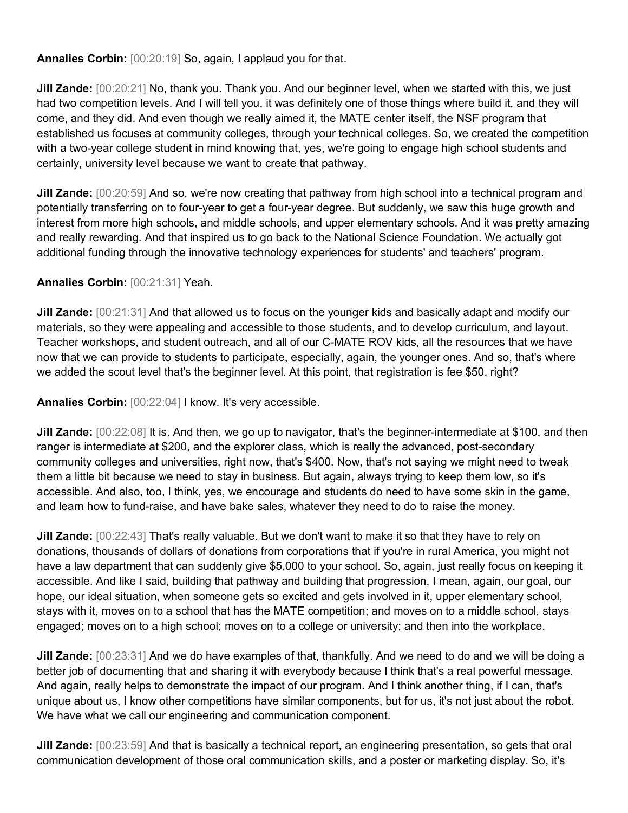**Annalies Corbin:** [00:20:19] So, again, I applaud you for that.

**Jill Zande:** [00:20:21] No, thank you. Thank you. And our beginner level, when we started with this, we just had two competition levels. And I will tell you, it was definitely one of those things where build it, and they will come, and they did. And even though we really aimed it, the MATE center itself, the NSF program that established us focuses at community colleges, through your technical colleges. So, we created the competition with a two-year college student in mind knowing that, yes, we're going to engage high school students and certainly, university level because we want to create that pathway.

**Jill Zande:** [00:20:59] And so, we're now creating that pathway from high school into a technical program and potentially transferring on to four-year to get a four-year degree. But suddenly, we saw this huge growth and interest from more high schools, and middle schools, and upper elementary schools. And it was pretty amazing and really rewarding. And that inspired us to go back to the National Science Foundation. We actually got additional funding through the innovative technology experiences for students' and teachers' program.

#### **Annalies Corbin:** [00:21:31] Yeah.

**Jill Zande:** [00:21:31] And that allowed us to focus on the younger kids and basically adapt and modify our materials, so they were appealing and accessible to those students, and to develop curriculum, and layout. Teacher workshops, and student outreach, and all of our C-MATE ROV kids, all the resources that we have now that we can provide to students to participate, especially, again, the younger ones. And so, that's where we added the scout level that's the beginner level. At this point, that registration is fee \$50, right?

**Annalies Corbin:** [00:22:04] I know. It's very accessible.

**Jill Zande:** [00:22:08] It is. And then, we go up to navigator, that's the beginner-intermediate at \$100, and then ranger is intermediate at \$200, and the explorer class, which is really the advanced, post-secondary community colleges and universities, right now, that's \$400. Now, that's not saying we might need to tweak them a little bit because we need to stay in business. But again, always trying to keep them low, so it's accessible. And also, too, I think, yes, we encourage and students do need to have some skin in the game, and learn how to fund-raise, and have bake sales, whatever they need to do to raise the money.

**Jill Zande:** [00:22:43] That's really valuable. But we don't want to make it so that they have to rely on donations, thousands of dollars of donations from corporations that if you're in rural America, you might not have a law department that can suddenly give \$5,000 to your school. So, again, just really focus on keeping it accessible. And like I said, building that pathway and building that progression, I mean, again, our goal, our hope, our ideal situation, when someone gets so excited and gets involved in it, upper elementary school, stays with it, moves on to a school that has the MATE competition; and moves on to a middle school, stays engaged; moves on to a high school; moves on to a college or university; and then into the workplace.

**Jill Zande:** [00:23:31] And we do have examples of that, thankfully. And we need to do and we will be doing a better job of documenting that and sharing it with everybody because I think that's a real powerful message. And again, really helps to demonstrate the impact of our program. And I think another thing, if I can, that's unique about us, I know other competitions have similar components, but for us, it's not just about the robot. We have what we call our engineering and communication component.

**Jill Zande:** [00:23:59] And that is basically a technical report, an engineering presentation, so gets that oral communication development of those oral communication skills, and a poster or marketing display. So, it's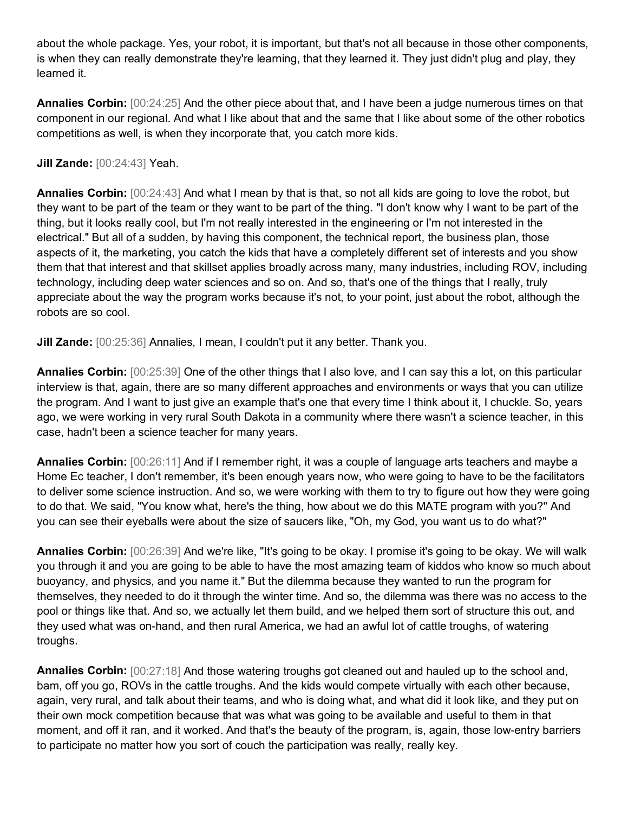about the whole package. Yes, your robot, it is important, but that's not all because in those other components, is when they can really demonstrate they're learning, that they learned it. They just didn't plug and play, they learned it.

**Annalies Corbin:** [00:24:25] And the other piece about that, and I have been a judge numerous times on that component in our regional. And what I like about that and the same that I like about some of the other robotics competitions as well, is when they incorporate that, you catch more kids.

# **Jill Zande:** [00:24:43] Yeah.

**Annalies Corbin:** [00:24:43] And what I mean by that is that, so not all kids are going to love the robot, but they want to be part of the team or they want to be part of the thing. "I don't know why I want to be part of the thing, but it looks really cool, but I'm not really interested in the engineering or I'm not interested in the electrical." But all of a sudden, by having this component, the technical report, the business plan, those aspects of it, the marketing, you catch the kids that have a completely different set of interests and you show them that that interest and that skillset applies broadly across many, many industries, including ROV, including technology, including deep water sciences and so on. And so, that's one of the things that I really, truly appreciate about the way the program works because it's not, to your point, just about the robot, although the robots are so cool.

**Jill Zande:** [00:25:36] Annalies, I mean, I couldn't put it any better. Thank you.

**Annalies Corbin:** [00:25:39] One of the other things that I also love, and I can say this a lot, on this particular interview is that, again, there are so many different approaches and environments or ways that you can utilize the program. And I want to just give an example that's one that every time I think about it, I chuckle. So, years ago, we were working in very rural South Dakota in a community where there wasn't a science teacher, in this case, hadn't been a science teacher for many years.

**Annalies Corbin:** [00:26:11] And if I remember right, it was a couple of language arts teachers and maybe a Home Ec teacher, I don't remember, it's been enough years now, who were going to have to be the facilitators to deliver some science instruction. And so, we were working with them to try to figure out how they were going to do that. We said, "You know what, here's the thing, how about we do this MATE program with you?" And you can see their eyeballs were about the size of saucers like, "Oh, my God, you want us to do what?"

**Annalies Corbin:** [00:26:39] And we're like, "It's going to be okay. I promise it's going to be okay. We will walk you through it and you are going to be able to have the most amazing team of kiddos who know so much about buoyancy, and physics, and you name it." But the dilemma because they wanted to run the program for themselves, they needed to do it through the winter time. And so, the dilemma was there was no access to the pool or things like that. And so, we actually let them build, and we helped them sort of structure this out, and they used what was on-hand, and then rural America, we had an awful lot of cattle troughs, of watering troughs.

**Annalies Corbin:** [00:27:18] And those watering troughs got cleaned out and hauled up to the school and, bam, off you go, ROVs in the cattle troughs. And the kids would compete virtually with each other because, again, very rural, and talk about their teams, and who is doing what, and what did it look like, and they put on their own mock competition because that was what was going to be available and useful to them in that moment, and off it ran, and it worked. And that's the beauty of the program, is, again, those low-entry barriers to participate no matter how you sort of couch the participation was really, really key.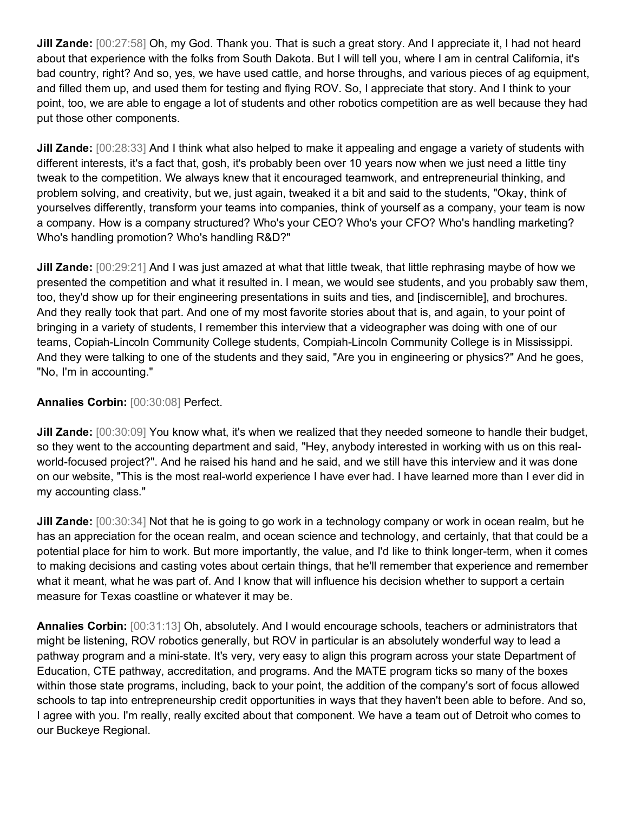**Jill Zande:** [00:27:58] Oh, my God. Thank you. That is such a great story. And I appreciate it, I had not heard about that experience with the folks from South Dakota. But I will tell you, where I am in central California, it's bad country, right? And so, yes, we have used cattle, and horse throughs, and various pieces of ag equipment, and filled them up, and used them for testing and flying ROV. So, I appreciate that story. And I think to your point, too, we are able to engage a lot of students and other robotics competition are as well because they had put those other components.

**Jill Zande:** [00:28:33] And I think what also helped to make it appealing and engage a variety of students with different interests, it's a fact that, gosh, it's probably been over 10 years now when we just need a little tiny tweak to the competition. We always knew that it encouraged teamwork, and entrepreneurial thinking, and problem solving, and creativity, but we, just again, tweaked it a bit and said to the students, "Okay, think of yourselves differently, transform your teams into companies, think of yourself as a company, your team is now a company. How is a company structured? Who's your CEO? Who's your CFO? Who's handling marketing? Who's handling promotion? Who's handling R&D?"

**Jill Zande:** [00:29:21] And I was just amazed at what that little tweak, that little rephrasing maybe of how we presented the competition and what it resulted in. I mean, we would see students, and you probably saw them, too, they'd show up for their engineering presentations in suits and ties, and [indiscernible], and brochures. And they really took that part. And one of my most favorite stories about that is, and again, to your point of bringing in a variety of students, I remember this interview that a videographer was doing with one of our teams, Copiah-Lincoln Community College students, Compiah-Lincoln Community College is in Mississippi. And they were talking to one of the students and they said, "Are you in engineering or physics?" And he goes, "No, I'm in accounting."

# **Annalies Corbin:** [00:30:08] Perfect.

**Jill Zande:** [00:30:09] You know what, it's when we realized that they needed someone to handle their budget, so they went to the accounting department and said, "Hey, anybody interested in working with us on this realworld-focused project?". And he raised his hand and he said, and we still have this interview and it was done on our website, "This is the most real-world experience I have ever had. I have learned more than I ever did in my accounting class."

**Jill Zande:** [00:30:34] Not that he is going to go work in a technology company or work in ocean realm, but he has an appreciation for the ocean realm, and ocean science and technology, and certainly, that that could be a potential place for him to work. But more importantly, the value, and I'd like to think longer-term, when it comes to making decisions and casting votes about certain things, that he'll remember that experience and remember what it meant, what he was part of. And I know that will influence his decision whether to support a certain measure for Texas coastline or whatever it may be.

**Annalies Corbin:** [00:31:13] Oh, absolutely. And I would encourage schools, teachers or administrators that might be listening, ROV robotics generally, but ROV in particular is an absolutely wonderful way to lead a pathway program and a mini-state. It's very, very easy to align this program across your state Department of Education, CTE pathway, accreditation, and programs. And the MATE program ticks so many of the boxes within those state programs, including, back to your point, the addition of the company's sort of focus allowed schools to tap into entrepreneurship credit opportunities in ways that they haven't been able to before. And so, I agree with you. I'm really, really excited about that component. We have a team out of Detroit who comes to our Buckeye Regional.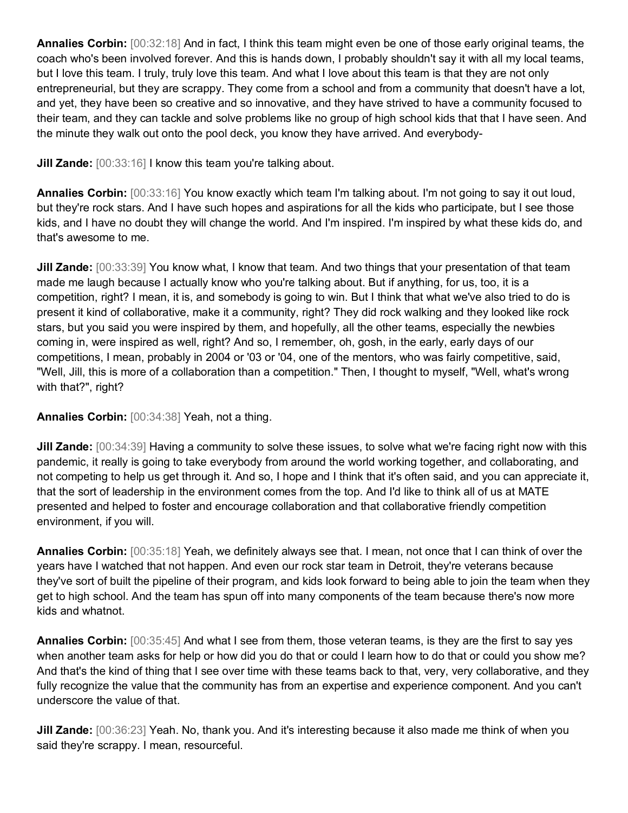**Annalies Corbin:** [00:32:18] And in fact, I think this team might even be one of those early original teams, the coach who's been involved forever. And this is hands down, I probably shouldn't say it with all my local teams, but I love this team. I truly, truly love this team. And what I love about this team is that they are not only entrepreneurial, but they are scrappy. They come from a school and from a community that doesn't have a lot, and yet, they have been so creative and so innovative, and they have strived to have a community focused to their team, and they can tackle and solve problems like no group of high school kids that that I have seen. And the minute they walk out onto the pool deck, you know they have arrived. And everybody-

**Jill Zande:** [00:33:16] I know this team you're talking about.

**Annalies Corbin:** [00:33:16] You know exactly which team I'm talking about. I'm not going to say it out loud, but they're rock stars. And I have such hopes and aspirations for all the kids who participate, but I see those kids, and I have no doubt they will change the world. And I'm inspired. I'm inspired by what these kids do, and that's awesome to me.

**Jill Zande:** [00:33:39] You know what, I know that team. And two things that your presentation of that team made me laugh because I actually know who you're talking about. But if anything, for us, too, it is a competition, right? I mean, it is, and somebody is going to win. But I think that what we've also tried to do is present it kind of collaborative, make it a community, right? They did rock walking and they looked like rock stars, but you said you were inspired by them, and hopefully, all the other teams, especially the newbies coming in, were inspired as well, right? And so, I remember, oh, gosh, in the early, early days of our competitions, I mean, probably in 2004 or '03 or '04, one of the mentors, who was fairly competitive, said, "Well, Jill, this is more of a collaboration than a competition." Then, I thought to myself, "Well, what's wrong with that?", right?

**Annalies Corbin:** [00:34:38] Yeah, not a thing.

**Jill Zande:** [00:34:39] Having a community to solve these issues, to solve what we're facing right now with this pandemic, it really is going to take everybody from around the world working together, and collaborating, and not competing to help us get through it. And so, I hope and I think that it's often said, and you can appreciate it, that the sort of leadership in the environment comes from the top. And I'd like to think all of us at MATE presented and helped to foster and encourage collaboration and that collaborative friendly competition environment, if you will.

**Annalies Corbin:** [00:35:18] Yeah, we definitely always see that. I mean, not once that I can think of over the years have I watched that not happen. And even our rock star team in Detroit, they're veterans because they've sort of built the pipeline of their program, and kids look forward to being able to join the team when they get to high school. And the team has spun off into many components of the team because there's now more kids and whatnot.

**Annalies Corbin:** [00:35:45] And what I see from them, those veteran teams, is they are the first to say yes when another team asks for help or how did you do that or could I learn how to do that or could you show me? And that's the kind of thing that I see over time with these teams back to that, very, very collaborative, and they fully recognize the value that the community has from an expertise and experience component. And you can't underscore the value of that.

**Jill Zande:** [00:36:23] Yeah. No, thank you. And it's interesting because it also made me think of when you said they're scrappy. I mean, resourceful.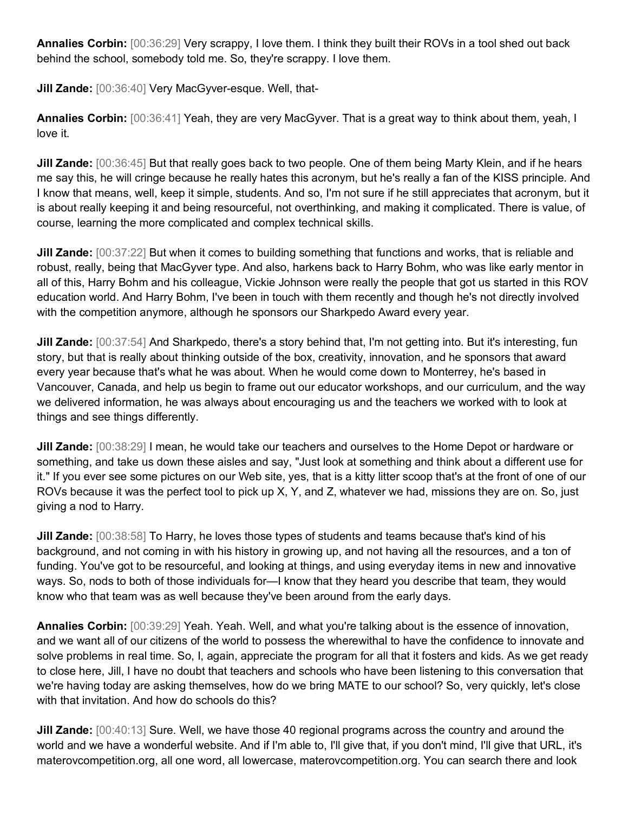**Annalies Corbin:** [00:36:29] Very scrappy, I love them. I think they built their ROVs in a tool shed out back behind the school, somebody told me. So, they're scrappy. I love them.

**Jill Zande:** [00:36:40] Very MacGyver-esque. Well, that-

**Annalies Corbin:** [00:36:41] Yeah, they are very MacGyver. That is a great way to think about them, yeah, I love it.

**Jill Zande:** [00:36:45] But that really goes back to two people. One of them being Marty Klein, and if he hears me say this, he will cringe because he really hates this acronym, but he's really a fan of the KISS principle. And I know that means, well, keep it simple, students. And so, I'm not sure if he still appreciates that acronym, but it is about really keeping it and being resourceful, not overthinking, and making it complicated. There is value, of course, learning the more complicated and complex technical skills.

**Jill Zande:** [00:37:22] But when it comes to building something that functions and works, that is reliable and robust, really, being that MacGyver type. And also, harkens back to Harry Bohm, who was like early mentor in all of this, Harry Bohm and his colleague, Vickie Johnson were really the people that got us started in this ROV education world. And Harry Bohm, I've been in touch with them recently and though he's not directly involved with the competition anymore, although he sponsors our Sharkpedo Award every year.

**Jill Zande:** [00:37:54] And Sharkpedo, there's a story behind that, I'm not getting into. But it's interesting, fun story, but that is really about thinking outside of the box, creativity, innovation, and he sponsors that award every year because that's what he was about. When he would come down to Monterrey, he's based in Vancouver, Canada, and help us begin to frame out our educator workshops, and our curriculum, and the way we delivered information, he was always about encouraging us and the teachers we worked with to look at things and see things differently.

**Jill Zande:** [00:38:29] I mean, he would take our teachers and ourselves to the Home Depot or hardware or something, and take us down these aisles and say, "Just look at something and think about a different use for it." If you ever see some pictures on our Web site, yes, that is a kitty litter scoop that's at the front of one of our ROVs because it was the perfect tool to pick up X, Y, and Z, whatever we had, missions they are on. So, just giving a nod to Harry.

**Jill Zande:** [00:38:58] To Harry, he loves those types of students and teams because that's kind of his background, and not coming in with his history in growing up, and not having all the resources, and a ton of funding. You've got to be resourceful, and looking at things, and using everyday items in new and innovative ways. So, nods to both of those individuals for—I know that they heard you describe that team, they would know who that team was as well because they've been around from the early days.

**Annalies Corbin:** [00:39:29] Yeah. Yeah. Well, and what you're talking about is the essence of innovation, and we want all of our citizens of the world to possess the wherewithal to have the confidence to innovate and solve problems in real time. So, I, again, appreciate the program for all that it fosters and kids. As we get ready to close here, Jill, I have no doubt that teachers and schools who have been listening to this conversation that we're having today are asking themselves, how do we bring MATE to our school? So, very quickly, let's close with that invitation. And how do schools do this?

**Jill Zande:** [00:40:13] Sure. Well, we have those 40 regional programs across the country and around the world and we have a wonderful website. And if I'm able to, I'll give that, if you don't mind, I'll give that URL, it's materovcompetition.org, all one word, all lowercase, materovcompetition.org. You can search there and look